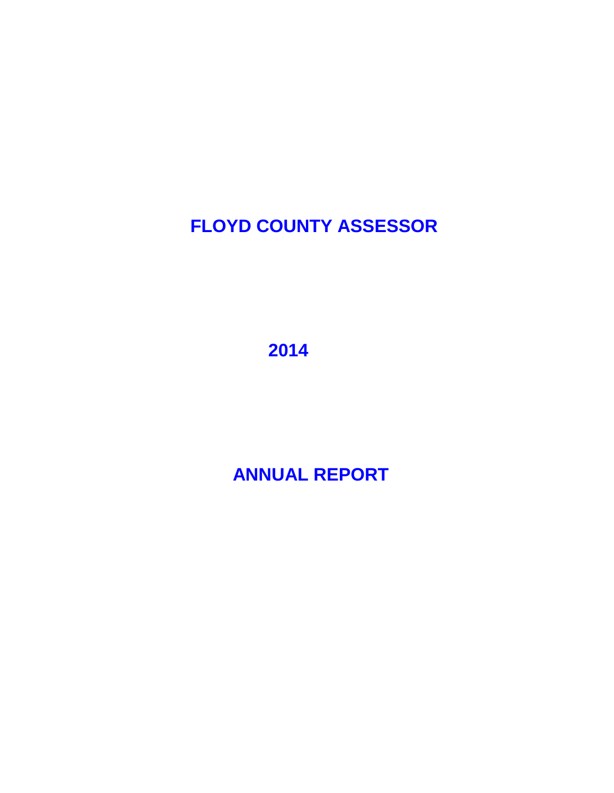# **FLOYD COUNTY ASSESSOR**

 **2014**

 **ANNUAL REPORT**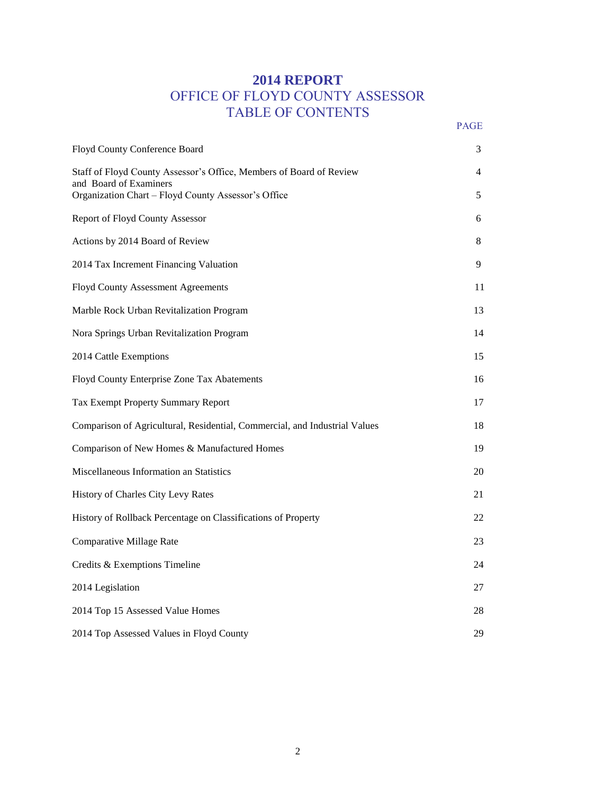### **2014 REPORT** OFFICE OF FLOYD COUNTY ASSESSOR TABLE OF CONTENTS PAGE **PAGE**

| Floyd County Conference Board                                                                 | 3              |
|-----------------------------------------------------------------------------------------------|----------------|
| Staff of Floyd County Assessor's Office, Members of Board of Review<br>and Board of Examiners | $\overline{4}$ |
| Organization Chart - Floyd County Assessor's Office                                           | 5              |
| Report of Floyd County Assessor                                                               | 6              |
| Actions by 2014 Board of Review                                                               | 8              |
| 2014 Tax Increment Financing Valuation                                                        | 9              |
| <b>Floyd County Assessment Agreements</b>                                                     | 11             |
| Marble Rock Urban Revitalization Program                                                      | 13             |
| Nora Springs Urban Revitalization Program                                                     | 14             |
| 2014 Cattle Exemptions                                                                        | 15             |
| Floyd County Enterprise Zone Tax Abatements                                                   | 16             |
| Tax Exempt Property Summary Report                                                            | 17             |
| Comparison of Agricultural, Residential, Commercial, and Industrial Values                    | 18             |
| Comparison of New Homes & Manufactured Homes                                                  | 19             |
| Miscellaneous Information an Statistics                                                       | 20             |
| History of Charles City Levy Rates                                                            | 21             |
| History of Rollback Percentage on Classifications of Property                                 | 22             |
| Comparative Millage Rate                                                                      | 23             |
| Credits & Exemptions Timeline                                                                 | 24             |
| 2014 Legislation                                                                              | 27             |
| 2014 Top 15 Assessed Value Homes                                                              | 28             |
| 2014 Top Assessed Values in Floyd County                                                      | 29             |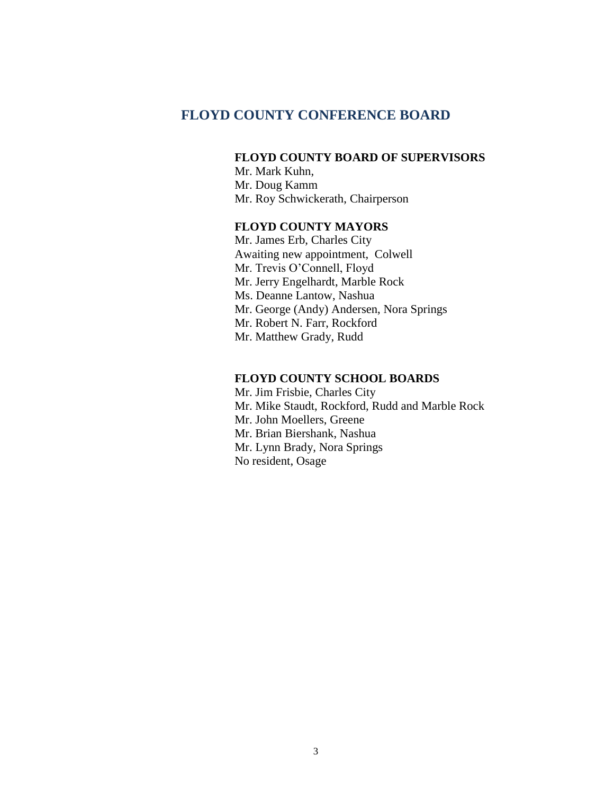#### **FLOYD COUNTY CONFERENCE BOARD**

#### **FLOYD COUNTY BOARD OF SUPERVISORS**

Mr. Mark Kuhn, Mr. Doug Kamm Mr. Roy Schwickerath, Chairperson

#### **FLOYD COUNTY MAYORS**

Mr. James Erb, Charles City Awaiting new appointment, Colwell Mr. Trevis O'Connell, Floyd Mr. Jerry Engelhardt, Marble Rock Ms. Deanne Lantow, Nashua Mr. George (Andy) Andersen, Nora Springs Mr. Robert N. Farr, Rockford Mr. Matthew Grady, Rudd

#### **FLOYD COUNTY SCHOOL BOARDS**

Mr. Jim Frisbie, Charles City Mr. Mike Staudt, Rockford, Rudd and Marble Rock Mr. John Moellers, Greene Mr. Brian Biershank, Nashua Mr. Lynn Brady, Nora Springs No resident, Osage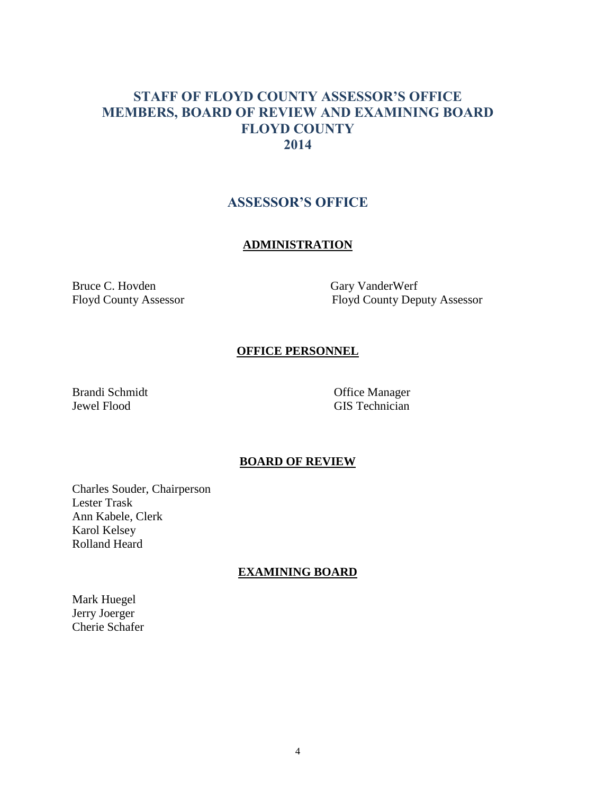### **STAFF OF FLOYD COUNTY ASSESSOR'S OFFICE MEMBERS, BOARD OF REVIEW AND EXAMINING BOARD FLOYD COUNTY 2014**

#### **ASSESSOR'S OFFICE**

#### **ADMINISTRATION**

Bruce C. Hovden Gary VanderWerf

Floyd County Assessor Floyd County Deputy Assessor

#### **OFFICE PERSONNEL**

Brandi Schmidt Office Manager

Jewel Flood GIS Technician

#### **BOARD OF REVIEW**

Charles Souder, Chairperson Lester Trask Ann Kabele, Clerk Karol Kelsey Rolland Heard

#### **EXAMINING BOARD**

Mark Huegel Jerry Joerger Cherie Schafer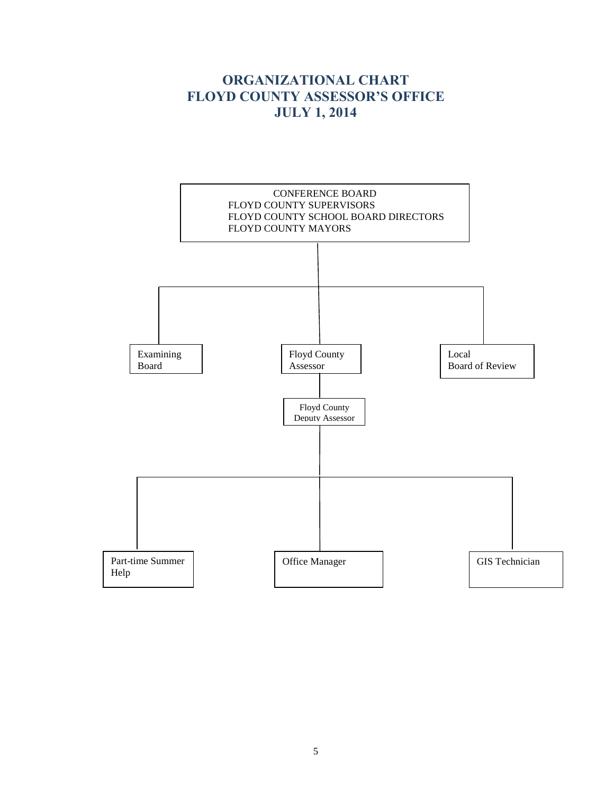## **ORGANIZATIONAL CHART FLOYD COUNTY ASSESSOR'S OFFICE JULY 1, 2014**

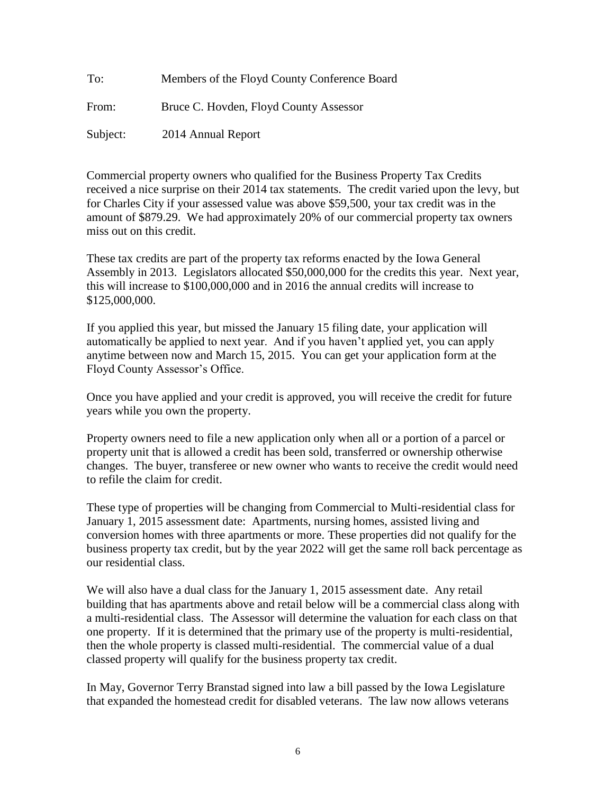| To:      | Members of the Floyd County Conference Board |
|----------|----------------------------------------------|
| From:    | Bruce C. Hovden, Floyd County Assessor       |
| Subject: | 2014 Annual Report                           |

Commercial property owners who qualified for the Business Property Tax Credits received a nice surprise on their 2014 tax statements. The credit varied upon the levy, but for Charles City if your assessed value was above \$59,500, your tax credit was in the amount of \$879.29. We had approximately 20% of our commercial property tax owners miss out on this credit.

These tax credits are part of the property tax reforms enacted by the Iowa General Assembly in 2013. Legislators allocated \$50,000,000 for the credits this year. Next year, this will increase to \$100,000,000 and in 2016 the annual credits will increase to \$125,000,000.

If you applied this year, but missed the January 15 filing date, your application will automatically be applied to next year. And if you haven't applied yet, you can apply anytime between now and March 15, 2015. You can get your application form at the Floyd County Assessor's Office.

Once you have applied and your credit is approved, you will receive the credit for future years while you own the property.

Property owners need to file a new application only when all or a portion of a parcel or property unit that is allowed a credit has been sold, transferred or ownership otherwise changes. The buyer, transferee or new owner who wants to receive the credit would need to refile the claim for credit.

These type of properties will be changing from Commercial to Multi-residential class for January 1, 2015 assessment date: Apartments, nursing homes, assisted living and conversion homes with three apartments or more. These properties did not qualify for the business property tax credit, but by the year 2022 will get the same roll back percentage as our residential class.

We will also have a dual class for the January 1, 2015 assessment date. Any retail building that has apartments above and retail below will be a commercial class along with a multi-residential class. The Assessor will determine the valuation for each class on that one property. If it is determined that the primary use of the property is multi-residential, then the whole property is classed multi-residential. The commercial value of a dual classed property will qualify for the business property tax credit.

In May, Governor Terry Branstad signed into law a bill passed by the Iowa Legislature that expanded the homestead credit for disabled veterans. The law now allows veterans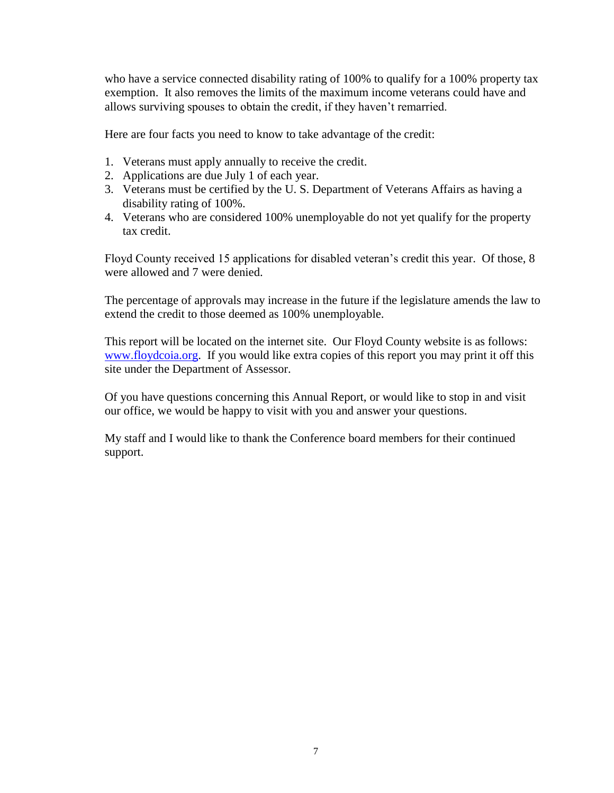who have a service connected disability rating of 100% to qualify for a 100% property tax exemption. It also removes the limits of the maximum income veterans could have and allows surviving spouses to obtain the credit, if they haven't remarried.

Here are four facts you need to know to take advantage of the credit:

- 1. Veterans must apply annually to receive the credit.
- 2. Applications are due July 1 of each year.
- 3. Veterans must be certified by the U. S. Department of Veterans Affairs as having a disability rating of 100%.
- 4. Veterans who are considered 100% unemployable do not yet qualify for the property tax credit.

Floyd County received 15 applications for disabled veteran's credit this year. Of those, 8 were allowed and 7 were denied.

The percentage of approvals may increase in the future if the legislature amends the law to extend the credit to those deemed as 100% unemployable.

This report will be located on the internet site. Our Floyd County website is as follows: [www.floydcoia.org.](http://www.floydcoia.org/) If you would like extra copies of this report you may print it off this site under the Department of Assessor.

Of you have questions concerning this Annual Report, or would like to stop in and visit our office, we would be happy to visit with you and answer your questions.

My staff and I would like to thank the Conference board members for their continued support.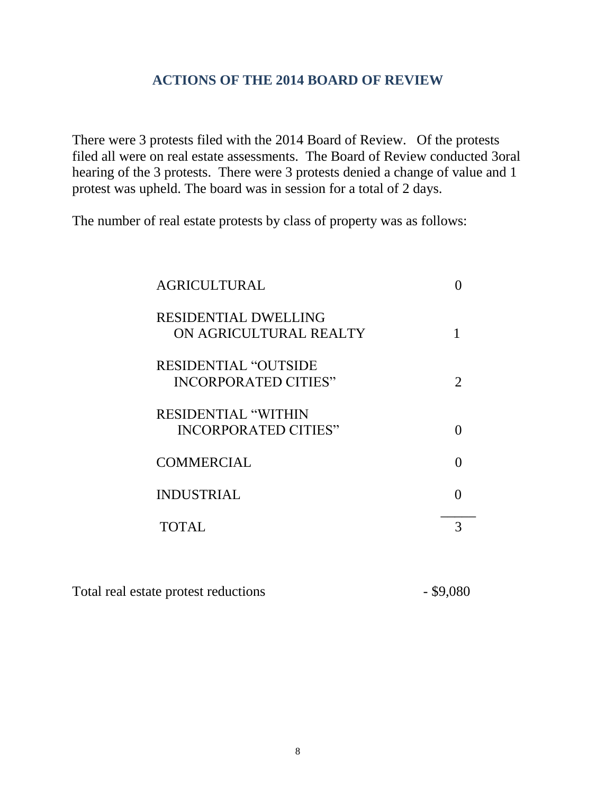### **ACTIONS OF THE 2014 BOARD OF REVIEW**

There were 3 protests filed with the 2014 Board of Review. Of the protests filed all were on real estate assessments. The Board of Review conducted 3oral hearing of the 3 protests. There were 3 protests denied a change of value and 1 protest was upheld. The board was in session for a total of 2 days.

The number of real estate protests by class of property was as follows:

| <b>AGRICULTURAL</b>                                       |               |
|-----------------------------------------------------------|---------------|
| <b>RESIDENTIAL DWELLING</b><br>ON AGRICULTURAL REALTY     |               |
| <b>RESIDENTIAL "OUTSIDE</b><br>INCORPORATED CITIES"       | $\mathcal{D}$ |
| <b>RESIDENTIAL "WITHIN</b><br><b>INCORPORATED CITIES"</b> |               |
| <b>COMMERCIAL</b>                                         |               |
| <b>INDUSTRIAL</b>                                         |               |
| TOTAL                                                     |               |

| Total real estate protest reductions | $-$ \$9,080 |
|--------------------------------------|-------------|
|--------------------------------------|-------------|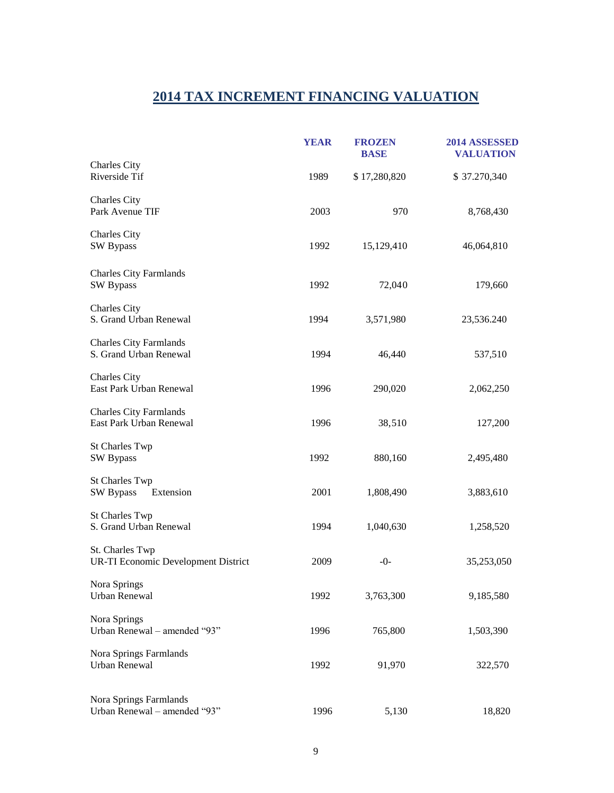## **2014 TAX INCREMENT FINANCING VALUATION**

|                                                          | <b>YEAR</b> | <b>FROZEN</b><br><b>BASE</b> | 2014 ASSESSED<br><b>VALUATION</b> |
|----------------------------------------------------------|-------------|------------------------------|-----------------------------------|
| Charles City<br>Riverside Tif                            | 1989        | \$17,280,820                 | \$37.270,340                      |
| Charles City<br>Park Avenue TIF                          | 2003        | 970                          | 8,768,430                         |
| Charles City<br><b>SW Bypass</b>                         | 1992        | 15,129,410                   | 46,064,810                        |
| <b>Charles City Farmlands</b><br><b>SW Bypass</b>        | 1992        | 72,040                       | 179,660                           |
| Charles City<br>S. Grand Urban Renewal                   | 1994        | 3,571,980                    | 23,536.240                        |
| <b>Charles City Farmlands</b><br>S. Grand Urban Renewal  | 1994        | 46,440                       | 537,510                           |
| <b>Charles City</b><br>East Park Urban Renewal           | 1996        | 290,020                      | 2,062,250                         |
| <b>Charles City Farmlands</b><br>East Park Urban Renewal | 1996        | 38,510                       | 127,200                           |
| <b>St Charles Twp</b><br><b>SW Bypass</b>                | 1992        | 880,160                      | 2,495,480                         |
| <b>St Charles Twp</b><br>SW Bypass<br>Extension          | 2001        | 1,808,490                    | 3,883,610                         |
| <b>St Charles Twp</b><br>S. Grand Urban Renewal          | 1994        | 1,040,630                    | 1,258,520                         |
| St. Charles Twp<br>UR-TI Economic Development District   | 2009        | $-0-$                        | 35,253,050                        |
| Nora Springs<br>Urban Renewal                            | 1992        | 3,763,300                    | 9,185,580                         |
| Nora Springs<br>Urban Renewal - amended "93"             | 1996        | 765,800                      | 1,503,390                         |
| Nora Springs Farmlands<br><b>Urban Renewal</b>           | 1992        | 91,970                       | 322,570                           |
| Nora Springs Farmlands<br>Urban Renewal - amended "93"   | 1996        | 5,130                        | 18,820                            |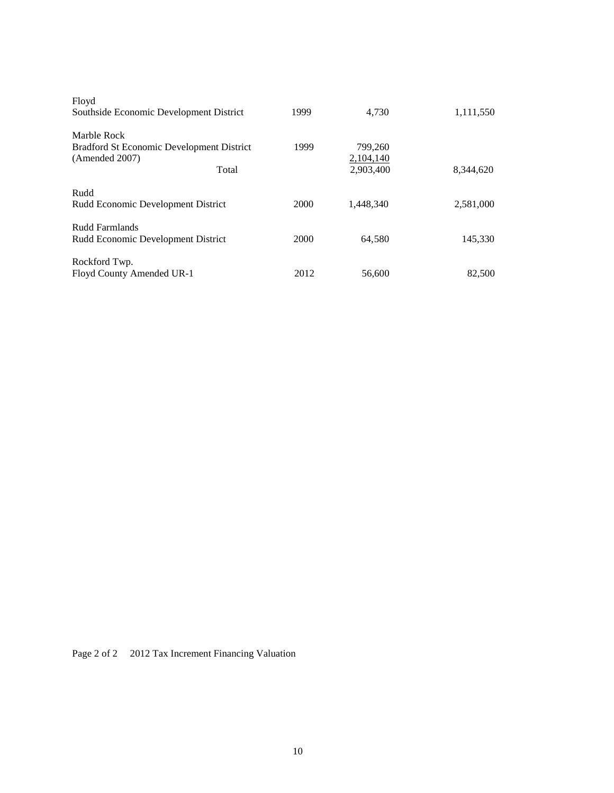| Floyd                                                    |      |           |           |
|----------------------------------------------------------|------|-----------|-----------|
| Southside Economic Development District                  | 1999 | 4.730     | 1,111,550 |
| Marble Rock<br>Bradford St Economic Development District | 1999 | 799,260   |           |
| (Amended 2007)                                           |      | 2,104,140 |           |
| Total                                                    |      | 2,903,400 | 8,344,620 |
| Rudd                                                     |      |           |           |
| Rudd Economic Development District                       | 2000 | 1.448.340 | 2,581,000 |
| Rudd Farmlands                                           |      |           |           |
| Rudd Economic Development District                       | 2000 | 64,580    | 145,330   |
| Rockford Twp.                                            |      |           |           |
| Floyd County Amended UR-1                                | 2012 | 56,600    | 82,500    |

Page 2 of 2 2012 Tax Increment Financing Valuation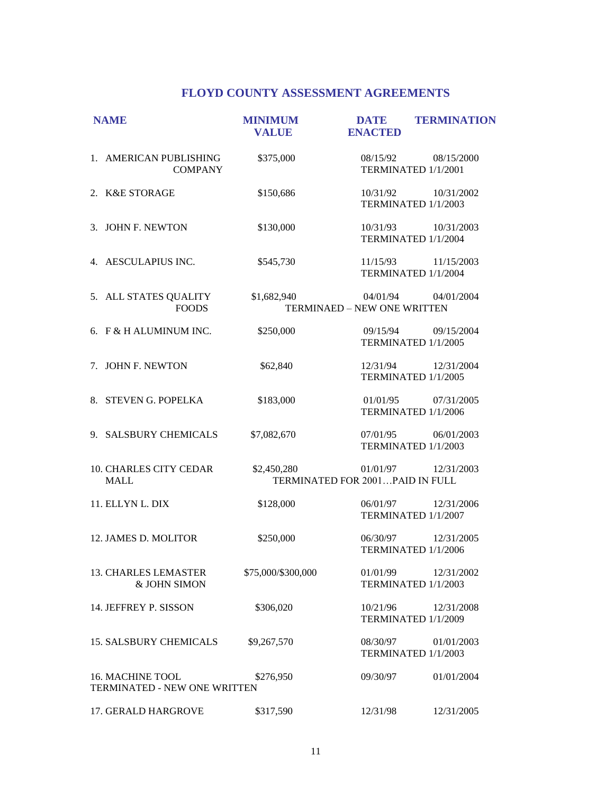#### **FLOYD COUNTY ASSESSMENT AGREEMENTS**

| <b>NAME</b>                                             | <b>MINIMUM</b><br><b>VALUE</b> | <b>DATE</b><br><b>ENACTED</b>               | <b>TERMINATION</b>                         |
|---------------------------------------------------------|--------------------------------|---------------------------------------------|--------------------------------------------|
| 1. AMERICAN PUBLISHING<br><b>COMPANY</b>                | \$375,000                      |                                             | 08/15/92 08/15/2000<br>TERMINATED 1/1/2001 |
| 2. K&E STORAGE                                          | \$150,686                      | 10/31/92                                    | 10/31/2002<br>TERMINATED 1/1/2003          |
| 3. JOHN F. NEWTON                                       | \$130,000                      |                                             | 10/31/93 10/31/2003<br>TERMINATED 1/1/2004 |
| 4. AESCULAPIUS INC.                                     | \$545,730                      |                                             | 11/15/93 11/15/2003<br>TERMINATED 1/1/2004 |
| 5. ALL STATES QUALITY<br><b>FOODS</b>                   | \$1,682,940                    | TERMINAED - NEW ONE WRITTEN                 | 04/01/94 04/01/2004                        |
| 6. F & H ALUMINUM INC.                                  | \$250,000                      | 09/15/94                                    | 09/15/2004<br>TERMINATED 1/1/2005          |
| 7. JOHN F. NEWTON                                       | \$62,840                       |                                             | 12/31/94 12/31/2004<br>TERMINATED 1/1/2005 |
| 8. STEVEN G. POPELKA                                    | \$183,000                      |                                             | 01/01/95 07/31/2005<br>TERMINATED 1/1/2006 |
| 9. SALSBURY CHEMICALS                                   | \$7,082,670                    | 07/01/95                                    | 06/01/2003<br>TERMINATED 1/1/2003          |
| 10. CHARLES CITY CEDAR<br><b>MALL</b>                   | \$2,450,280                    | 01/01/97<br>TERMINATED FOR 2001PAID IN FULL | 12/31/2003                                 |
| 11. ELLYN L. DIX                                        | \$128,000                      | 06/01/97                                    | 12/31/2006<br>TERMINATED 1/1/2007          |
| 12. JAMES D. MOLITOR                                    | \$250,000                      | 06/30/97                                    | 12/31/2005<br>TERMINATED 1/1/2006          |
| <b>13. CHARLES LEMASTER</b><br>& JOHN SIMON             | \$75,000/\$300,000             | 01/01/99                                    | 12/31/2002<br>TERMINATED 1/1/2003          |
| 14. JEFFREY P. SISSON                                   | \$306,020                      | 10/21/96                                    | 12/31/2008<br>TERMINATED 1/1/2009          |
| <b>15. SALSBURY CHEMICALS</b>                           | \$9,267,570                    | 08/30/97                                    | 01/01/2003<br>TERMINATED 1/1/2003          |
| <b>16. MACHINE TOOL</b><br>TERMINATED - NEW ONE WRITTEN | \$276,950                      | 09/30/97                                    | 01/01/2004                                 |
| 17. GERALD HARGROVE                                     | \$317,590                      | 12/31/98                                    | 12/31/2005                                 |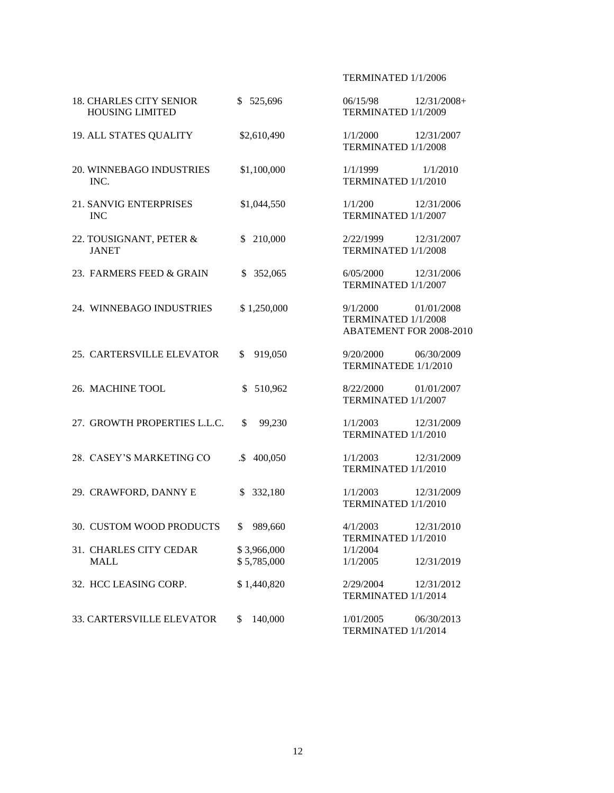#### TERMINATED 1/1/2006

| <b>18. CHARLES CITY SENIOR</b><br><b>HOUSING LIMITED</b> | \$525,696                  | 06/15/98<br>TERMINATED 1/1/2009             | $12/31/2008+$                         |
|----------------------------------------------------------|----------------------------|---------------------------------------------|---------------------------------------|
| 19. ALL STATES QUALITY                                   | \$2,610,490                | 1/1/2000<br>TERMINATED 1/1/2008             | 12/31/2007                            |
| 20. WINNEBAGO INDUSTRIES<br>INC.                         | \$1,100,000                | 1/1/1999<br>TERMINATED 1/1/2010             | 1/1/2010                              |
| <b>21. SANVIG ENTERPRISES</b><br><b>INC</b>              | \$1,044,550                | 1/1/200<br>TERMINATED 1/1/2007              | 12/31/2006                            |
| 22. TOUSIGNANT, PETER &<br><b>JANET</b>                  | \$ 210,000                 | 2/22/1999<br>TERMINATED 1/1/2008            | 12/31/2007                            |
| 23. FARMERS FEED & GRAIN                                 | \$352,065                  | 6/05/2000<br>TERMINATED 1/1/2007            | 12/31/2006                            |
| 24. WINNEBAGO INDUSTRIES                                 | \$1,250,000                | 9/1/2000<br>TERMINATED 1/1/2008             | 01/01/2008<br>ABATEMENT FOR 2008-2010 |
| 25. CARTERSVILLE ELEVATOR                                | \$919,050                  | 9/20/2000<br>TERMINATEDE 1/1/2010           | 06/30/2009                            |
| 26. MACHINE TOOL                                         | \$510,962                  | 8/22/2000<br>TERMINATED 1/1/2007            | 01/01/2007                            |
| 27. GROWTH PROPERTIES L.L.C.                             | \$99,230                   | 1/1/2003<br>TERMINATED 1/1/2010             | 12/31/2009                            |
| 28. CASEY'S MARKETING CO                                 | .\$400,050                 | 1/1/2003<br>TERMINATED 1/1/2010             | 12/31/2009                            |
| 29. CRAWFORD, DANNY E                                    | \$332,180                  | 1/1/2003<br>TERMINATED 1/1/2010             | 12/31/2009                            |
| 30. CUSTOM WOOD PRODUCTS                                 | \$989,660                  | 4/1/2003                                    | 12/31/2010                            |
| 31. CHARLES CITY CEDAR<br><b>MALL</b>                    | \$3,966,000<br>\$5,785,000 | TERMINATED 1/1/2010<br>1/1/2004<br>1/1/2005 | 12/31/2019                            |
| 32. HCC LEASING CORP.                                    | \$1,440,820                | 2/29/2004<br>TERMINATED 1/1/2014            | 12/31/2012                            |
| 33. CARTERSVILLE ELEVATOR                                | \$140,000                  | 1/01/2005<br>TERMINATED 1/1/2014            | 06/30/2013                            |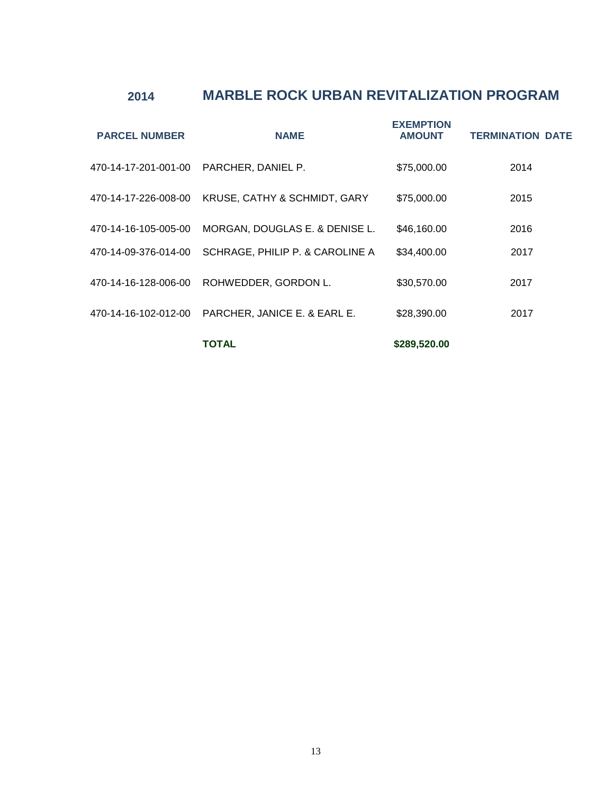## **2014 MARBLE ROCK URBAN REVITALIZATION PROGRAM**

| <b>PARCEL NUMBER</b> | <b>NAME</b>                     | <b>EXEMPTION</b><br><b>AMOUNT</b> | <b>TERMINATION DATE</b> |
|----------------------|---------------------------------|-----------------------------------|-------------------------|
| 470-14-17-201-001-00 | PARCHER, DANIEL P.              | \$75,000.00                       | 2014                    |
| 470-14-17-226-008-00 | KRUSE, CATHY & SCHMIDT, GARY    | \$75,000.00                       | 2015                    |
| 470-14-16-105-005-00 | MORGAN, DOUGLAS E. & DENISE L.  | \$46,160.00                       | 2016                    |
| 470-14-09-376-014-00 | SCHRAGE, PHILIP P. & CAROLINE A | \$34,400.00                       | 2017                    |
| 470-14-16-128-006-00 | ROHWEDDER, GORDON L.            | \$30,570.00                       | 2017                    |
| 470-14-16-102-012-00 | PARCHER, JANICE E. & EARL E.    | \$28,390.00                       | 2017                    |
|                      | TOTAL                           | \$289,520.00                      |                         |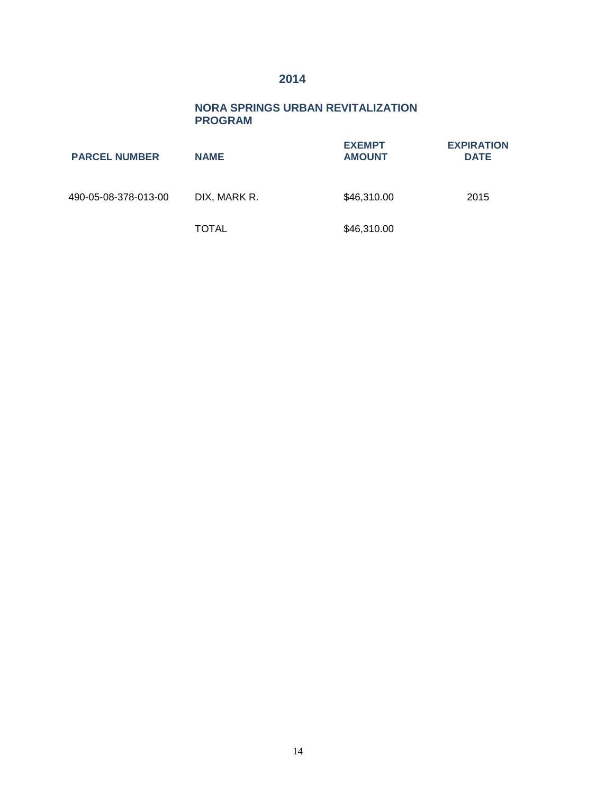### **2014**

#### **NORA SPRINGS URBAN REVITALIZATION PROGRAM**

| <b>PARCEL NUMBER</b> | <b>NAME</b>  | <b>EXEMPT</b><br><b>AMOUNT</b> | <b>EXPIRATION</b><br><b>DATE</b> |
|----------------------|--------------|--------------------------------|----------------------------------|
| 490-05-08-378-013-00 | DIX. MARK R. | \$46,310.00                    | 2015                             |
|                      | TOTAL        | \$46,310.00                    |                                  |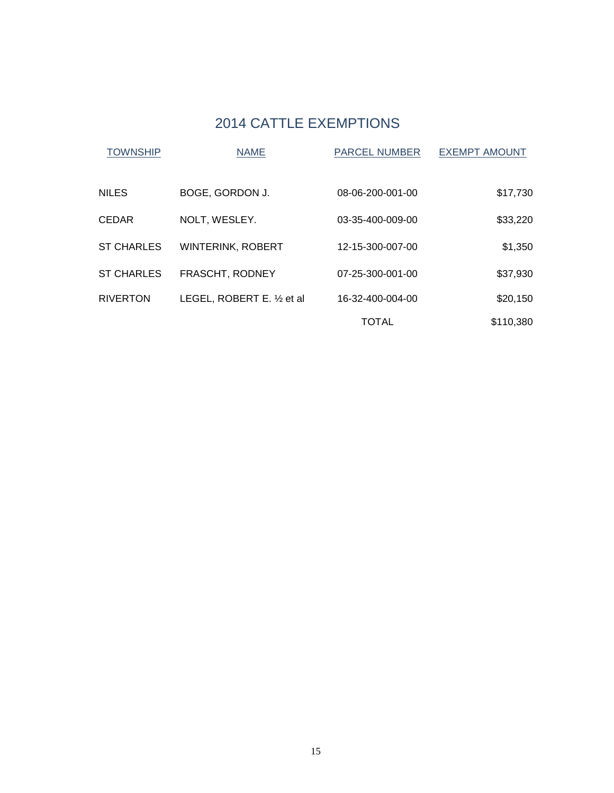## 2014 CATTLE EXEMPTIONS

| <b>TOWNSHIP</b>   | <b>NAME</b>                 | <b>PARCEL NUMBER</b> | <b>EXEMPT AMOUNT</b> |
|-------------------|-----------------------------|----------------------|----------------------|
| <b>NILES</b>      | BOGE, GORDON J.             | 08-06-200-001-00     | \$17,730             |
| <b>CEDAR</b>      | NOLT, WESLEY.               | 03-35-400-009-00     | \$33,220             |
| <b>ST CHARLES</b> | <b>WINTERINK, ROBERT</b>    | 12-15-300-007-00     | \$1,350              |
| <b>ST CHARLES</b> | FRASCHT, RODNEY             | 07-25-300-001-00     | \$37,930             |
| <b>RIVERTON</b>   | LEGEL, ROBERT E. 1/2 et al. | 16-32-400-004-00     | \$20,150             |
|                   |                             | <b>TOTAL</b>         | \$110,380            |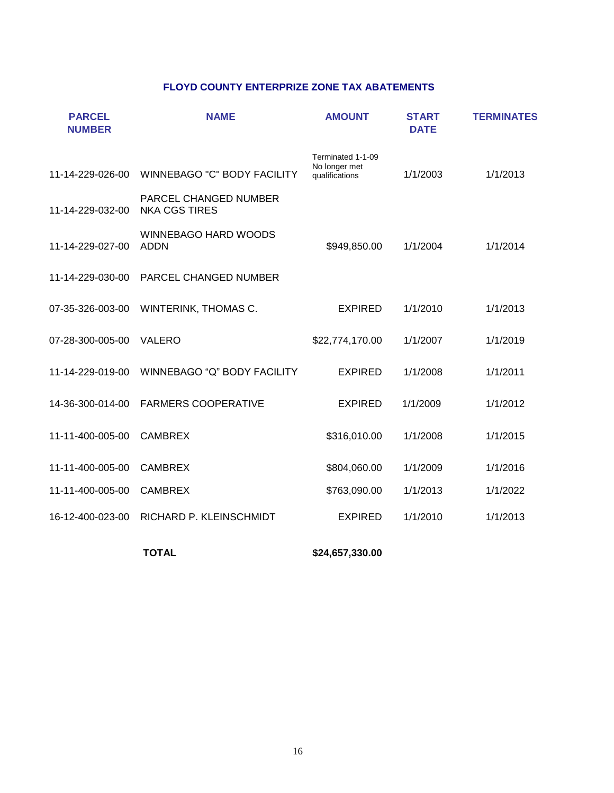#### **FLOYD COUNTY ENTERPRIZE ZONE TAX ABATEMENTS**

| <b>NAME</b>                                   | <b>AMOUNT</b>                                        | <b>START</b><br><b>DATE</b> | <b>TERMINATES</b> |
|-----------------------------------------------|------------------------------------------------------|-----------------------------|-------------------|
| <b>WINNEBAGO "C" BODY FACILITY</b>            | Terminated 1-1-09<br>No longer met<br>qualifications | 1/1/2003                    | 1/1/2013          |
| PARCEL CHANGED NUMBER<br><b>NKA CGS TIRES</b> |                                                      |                             |                   |
| <b>WINNEBAGO HARD WOODS</b><br><b>ADDN</b>    | \$949,850.00                                         | 1/1/2004                    | 1/1/2014          |
| <b>PARCEL CHANGED NUMBER</b>                  |                                                      |                             |                   |
| WINTERINK, THOMAS C.                          | <b>EXPIRED</b>                                       | 1/1/2010                    | 1/1/2013          |
| <b>VALERO</b>                                 | \$22,774,170.00                                      | 1/1/2007                    | 1/1/2019          |
| WINNEBAGO "Q" BODY FACILITY                   | <b>EXPIRED</b>                                       | 1/1/2008                    | 1/1/2011          |
| <b>FARMERS COOPERATIVE</b>                    | <b>EXPIRED</b>                                       | 1/1/2009                    | 1/1/2012          |
| <b>CAMBREX</b>                                | \$316,010.00                                         | 1/1/2008                    | 1/1/2015          |
| <b>CAMBREX</b>                                | \$804,060.00                                         | 1/1/2009                    | 1/1/2016          |
| <b>CAMBREX</b>                                | \$763,090.00                                         | 1/1/2013                    | 1/1/2022          |
| RICHARD P. KLEINSCHMIDT                       | <b>EXPIRED</b>                                       | 1/1/2010                    | 1/1/2013          |
|                                               |                                                      |                             |                   |

**TOTAL**

**\$24,657,330.00**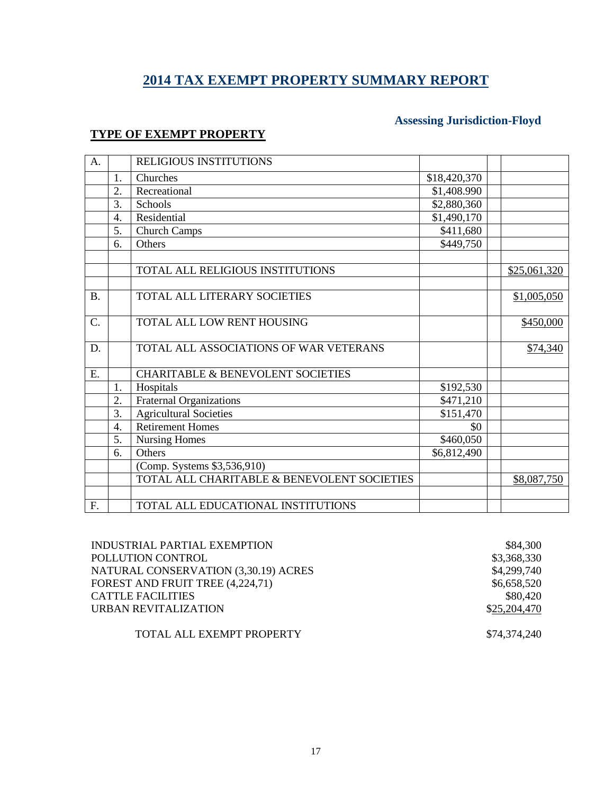## **2014 TAX EXEMPT PROPERTY SUMMARY REPORT**

### **TYPE OF EXEMPT PROPERTY**

### **Assessing Jurisdiction-Floyd**

| A.              |    | RELIGIOUS INSTITUTIONS                       |              |              |
|-----------------|----|----------------------------------------------|--------------|--------------|
|                 | 1. | Churches                                     | \$18,420,370 |              |
|                 | 2. | Recreational                                 | \$1,408.990  |              |
|                 | 3. | Schools                                      | \$2,880,360  |              |
|                 | 4. | Residential                                  | \$1,490,170  |              |
|                 | 5. | <b>Church Camps</b>                          | \$411,680    |              |
|                 | 6. | Others                                       | \$449,750    |              |
|                 |    |                                              |              |              |
|                 |    | TOTAL ALL RELIGIOUS INSTITUTIONS             |              | \$25,061,320 |
|                 |    |                                              |              |              |
| <b>B.</b>       |    | TOTAL ALL LITERARY SOCIETIES                 |              | \$1,005,050  |
|                 |    |                                              |              |              |
| $\mathcal{C}$ . |    | TOTAL ALL LOW RENT HOUSING                   |              | \$450,000    |
|                 |    | TOTAL ALL ASSOCIATIONS OF WAR VETERANS       |              |              |
| D.              |    |                                              |              | \$74,340     |
| E.              |    | <b>CHARITABLE &amp; BENEVOLENT SOCIETIES</b> |              |              |
|                 | 1. | Hospitals                                    | \$192,530    |              |
|                 | 2. | <b>Fraternal Organizations</b>               | \$471,210    |              |
|                 | 3. | <b>Agricultural Societies</b>                | \$151,470    |              |
|                 | 4. | <b>Retirement Homes</b>                      | \$0          |              |
|                 | 5. | <b>Nursing Homes</b>                         | \$460,050    |              |
|                 | 6. | Others                                       | \$6,812,490  |              |
|                 |    | (Comp. Systems \$3,536,910)                  |              |              |
|                 |    | TOTAL ALL CHARITABLE & BENEVOLENT SOCIETIES  |              | \$8,087,750  |
|                 |    |                                              |              |              |
| F.              |    | TOTAL ALL EDUCATIONAL INSTITUTIONS           |              |              |

| INDUSTRIAL PARTIAL EXEMPTION         | \$84,300     |
|--------------------------------------|--------------|
| POLLUTION CONTROL                    | \$3,368,330  |
| NATURAL CONSERVATION (3,30.19) ACRES | \$4,299,740  |
| FOREST AND FRUIT TREE (4,224,71)     | \$6,658,520  |
| CATTLE FACILITIES                    | \$80,420     |
| <b>URBAN REVITALIZATION</b>          | \$25,204,470 |
|                                      |              |
| TOTAL ALL EXEMPT PROPERTY            | \$74,374,240 |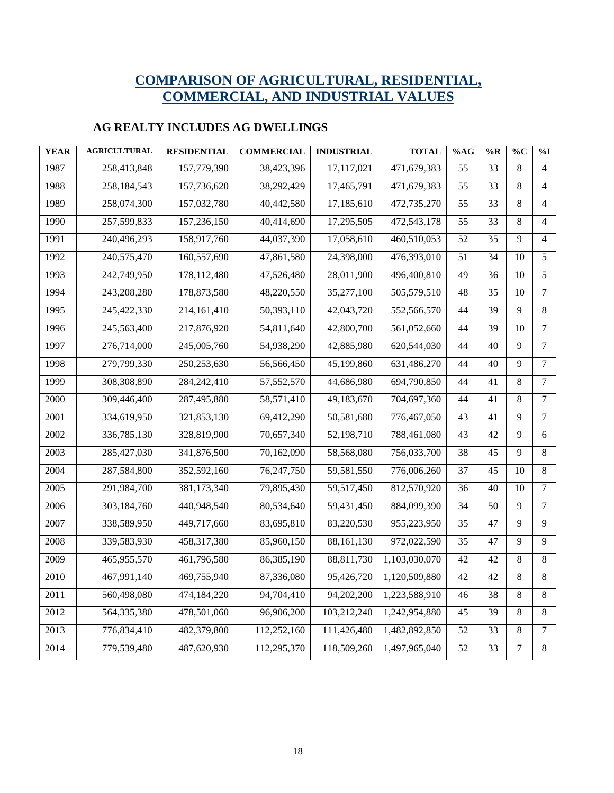## **COMPARISON OF AGRICULTURAL, RESIDENTIAL, COMMERCIAL, AND INDUSTRIAL VALUES**

### **AG REALTY INCLUDES AG DWELLINGS**

| <b>YEAR</b> | <b>AGRICULTURAL</b> | <b>RESIDENTIAL</b> | <b>COMMERCIAL</b> | <b>INDUSTRIAL</b> | <b>TOTAL</b>  | %AG             | $\%R$           | $\%C$          | $\%$ I         |
|-------------|---------------------|--------------------|-------------------|-------------------|---------------|-----------------|-----------------|----------------|----------------|
| 1987        | 258,413,848         | 157,779,390        | 38,423,396        | 17,117,021        | 471,679,383   | 55              | 33              | 8              | $\overline{4}$ |
| 1988        | 258,184,543         | 157,736,620        | 38,292,429        | 17,465,791        | 471,679,383   | 55              | 33              | 8              | 4              |
| 1989        | 258,074,300         | 157,032,780        | 40,442,580        | 17,185,610        | 472,735,270   | $\overline{55}$ | $\overline{33}$ | 8              | 4              |
| 1990        | 257,599,833         | 157,236,150        | 40,414,690        | 17,295,505        | 472,543,178   | 55              | 33              | 8              | 4              |
| 1991        | 240,496,293         | 158,917,760        | 44,037,390        | 17,058,610        | 460,510,053   | 52              | 35              | 9              | $\overline{4}$ |
| 1992        | 240,575,470         | 160,557,690        | 47,861,580        | 24,398,000        | 476,393,010   | 51              | 34              | 10             | 5              |
| 1993        | 242,749,950         | 178,112,480        | 47,526,480        | 28,011,900        | 496,400,810   | 49              | 36              | 10             | 5              |
| 1994        | 243,208,280         | 178,873,580        | 48,220,550        | 35,277,100        | 505,579,510   | $\overline{48}$ | $\overline{35}$ | 10             | $\overline{7}$ |
| 1995        | 245,422,330         | 214,161,410        | 50,393,110        | 42,043,720        | 552,566,570   | 44              | 39              | 9              | 8              |
| 1996        | 245,563,400         | 217,876,920        | 54,811,640        | 42,800,700        | 561,052,660   | 44              | 39              | 10             | $\overline{7}$ |
| 1997        | 276,714,000         | 245,005,760        | 54,938,290        | 42,885,980        | 620,544,030   | 44              | 40              | 9              | $\overline{7}$ |
| 1998        | 279,799,330         | 250, 253, 630      | 56,566,450        | 45,199,860        | 631,486,270   | 44              | 40              | 9              | $\overline{7}$ |
| 1999        | 308,308,890         | 284,242,410        | 57,552,570        | 44,686,980        | 694,790,850   | 44              | 41              | 8              | $\overline{7}$ |
| 2000        | 309,446,400         | 287,495,880        | 58,571,410        | 49,183,670        | 704,697,360   | 44              | 41              | 8              | $\tau$         |
| 2001        | 334,619,950         | 321,853,130        | 69,412,290        | 50,581,680        | 776,467,050   | $\overline{43}$ | 41              | 9              | $\overline{7}$ |
| 2002        | 336,785,130         | 328,819,900        | 70,657,340        | 52,198,710        | 788,461,080   | 43              | 42              | 9              | 6              |
| 2003        | 285,427,030         | 341,876,500        | 70,162,090        | 58,568,080        | 756,033,700   | 38              | 45              | $\overline{9}$ | 8              |
| 2004        | 287,584,800         | 352,592,160        | 76,247,750        | 59,581,550        | 776,006,260   | 37              | 45              | 10             | 8              |
| 2005        | 291,984,700         | 381,173,340        | 79,895,430        | 59,517,450        | 812,570,920   | 36              | 40              | 10             | $\tau$         |
| 2006        | 303,184,760         | 440,948,540        | 80,534,640        | 59,431,450        | 884,099,390   | 34              | 50              | 9              | $\tau$         |
| 2007        | 338,589,950         | 449,717,660        | 83,695,810        | 83,220,530        | 955,223,950   | 35              | 47              | 9              | 9              |
| 2008        | 339,583,930         | 458,317,380        | 85,960,150        | 88,161,130        | 972,022,590   | 35              | 47              | 9              | 9              |
| 2009        | 465,955,570         | 461,796,580        | 86,385,190        | 88,811,730        | 1,103,030,070 | 42              | 42              | 8              | 8              |
| 2010        | 467,991,140         | 469,755,940        | 87,336,080        | 95,426,720        | 1,120,509,880 | 42              | 42              | 8              | 8              |
| 2011        | 560,498,080         | 474,184,220        | 94,704,410        | 94,202,200        | 1,223,588,910 | 46              | 38              | 8              | 8              |
| 2012        | 564,335,380         | 478,501,060        | 96,906,200        | 103,212,240       | 1,242,954,880 | 45              | 39              | 8              | 8              |
| 2013        | 776,834,410         | 482,379,800        | 112,252,160       | 111,426,480       | 1,482,892,850 | 52              | 33              | 8              | $\overline{7}$ |
| 2014        | 779,539,480         | 487,620,930        | 112,295,370       | 118,509,260       | 1,497,965,040 | 52              | 33              | 7              | 8              |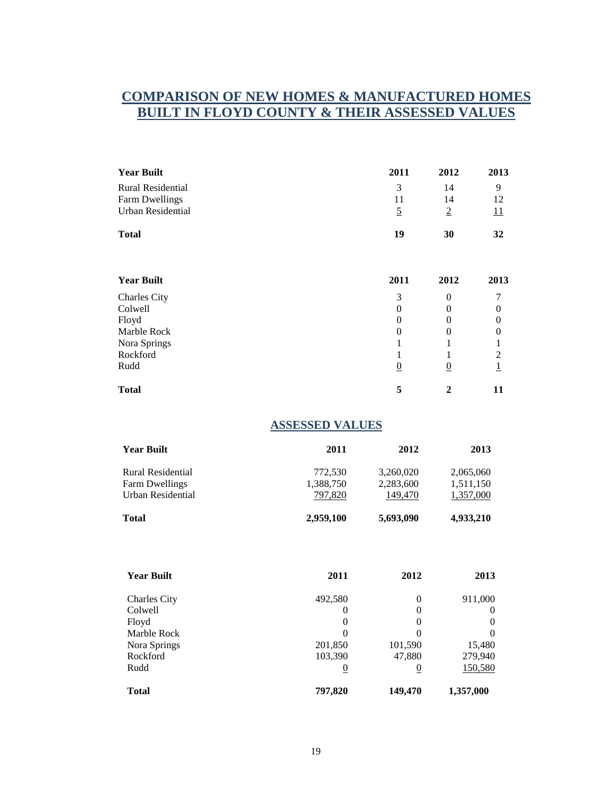### **COMPARISON OF NEW HOMES & MANUFACTURED HOMES BUILT IN FLOYD COUNTY & THEIR ASSESSED VALUES**

| <b>Year Built</b>        | 2011           | 2012           | 2013             |
|--------------------------|----------------|----------------|------------------|
| <b>Rural Residential</b> | 3              | 14             | 9                |
| Farm Dwellings           | 11             | 14             | 12               |
| <b>Urban Residential</b> | $\overline{2}$ | $\overline{2}$ | $\overline{11}$  |
| <b>Total</b>             | 19             | 30             | 32               |
| <b>Year Built</b>        | 2011           | 2012           | 2013             |
| <b>Charles City</b>      | 3              | $\Omega$       | 7                |
| Colwell                  | 0              | $\Omega$       | $\theta$         |
| Floyd                    | $\theta$       | $\Omega$       | $\boldsymbol{0}$ |
| Marble Rock              | 0              | 0              | $\theta$         |
| Nora Springs             |                | 1              | 1                |
| Rockford                 |                | 1              | $\overline{c}$   |
| Rudd                     | $\overline{0}$ | $\overline{0}$ | $\overline{1}$   |
| <b>Total</b>             | 5              | $\mathbf{2}$   | 11               |

#### **ASSESSED VALUES**

| <b>Year Built</b>                                               | 2011                            | 2012                              | 2013                                |
|-----------------------------------------------------------------|---------------------------------|-----------------------------------|-------------------------------------|
| Rural Residential<br><b>Farm Dwellings</b><br>Urban Residential | 772,530<br>1,388,750<br>797.820 | 3,260,020<br>2,283,600<br>149,470 | 2,065,060<br>1,511,150<br>1,357,000 |
| Total                                                           | 2,959,100                       | 5,693,090                         | 4,933,210                           |

| <b>Year Built</b>   | 2011           | 2012           | 2013           |
|---------------------|----------------|----------------|----------------|
| <b>Charles City</b> | 492,580        | $\Omega$       | 911,000        |
| Colwell             | 0              | $\Omega$       | $\theta$       |
| Floyd               | 0              | $\theta$       | 0              |
| Marble Rock         | $\Omega$       | $\Omega$       | 0              |
| Nora Springs        | 201,850        | 101,590        | 15,480         |
| Rockford            | 103,390        | 47,880         | 279,940        |
| Rudd                | $\overline{0}$ | $\overline{0}$ | <u>150,580</u> |
| Total               | 797,820        | 149,470        | 1,357,000      |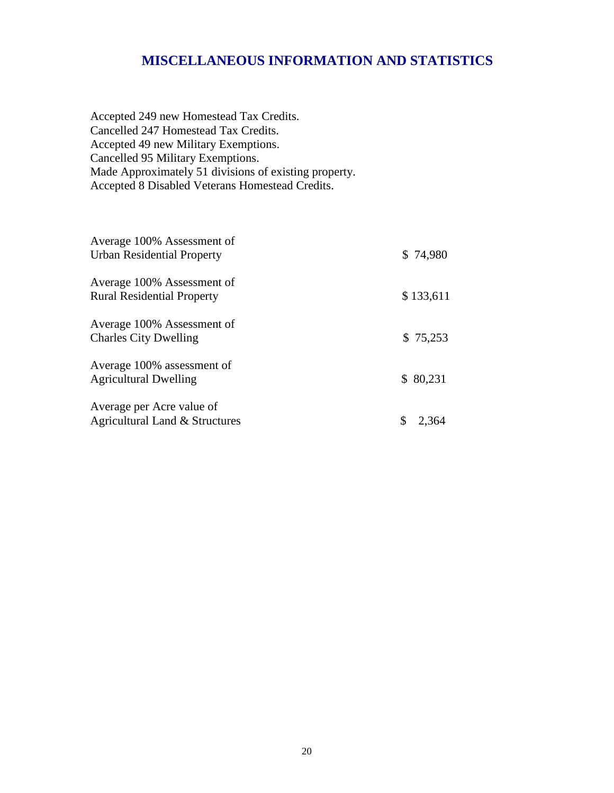### **MISCELLANEOUS INFORMATION AND STATISTICS**

Accepted 249 new Homestead Tax Credits. Cancelled 247 Homestead Tax Credits. Accepted 49 new Military Exemptions. Cancelled 95 Military Exemptions. Made Approximately 51 divisions of existing property. Accepted 8 Disabled Veterans Homestead Credits.

| Average 100% Assessment of<br><b>Urban Residential Property</b> | \$74,980  |
|-----------------------------------------------------------------|-----------|
| Average 100% Assessment of<br><b>Rural Residential Property</b> | \$133,611 |
| Average 100% Assessment of<br><b>Charles City Dwelling</b>      | \$75,253  |
| Average 100% assessment of<br><b>Agricultural Dwelling</b>      | \$80,231  |
| Average per Acre value of<br>Agricultural Land & Structures     | 2.364     |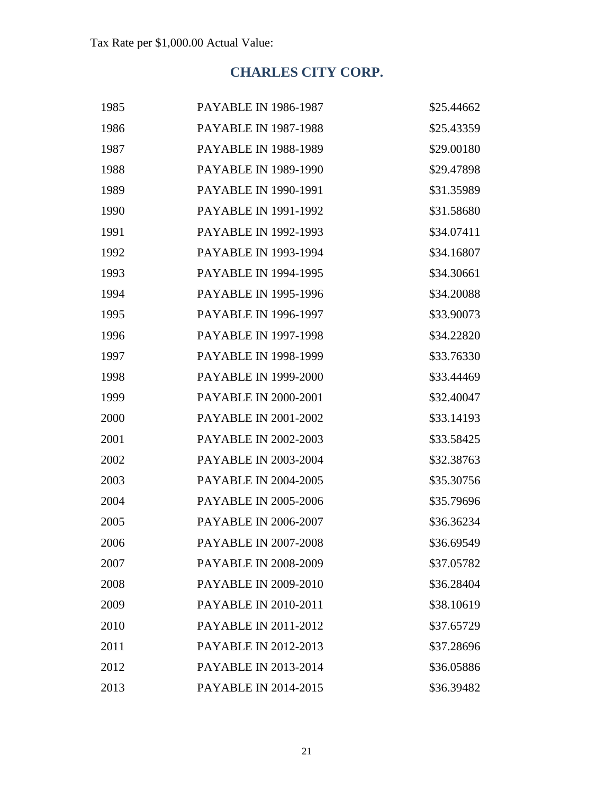## **CHARLES CITY CORP.**

| 1985 | <b>PAYABLE IN 1986-1987</b> | \$25.44662 |
|------|-----------------------------|------------|
| 1986 | <b>PAYABLE IN 1987-1988</b> | \$25.43359 |
| 1987 | <b>PAYABLE IN 1988-1989</b> | \$29.00180 |
| 1988 | <b>PAYABLE IN 1989-1990</b> | \$29.47898 |
| 1989 | <b>PAYABLE IN 1990-1991</b> | \$31.35989 |
| 1990 | <b>PAYABLE IN 1991-1992</b> | \$31.58680 |
| 1991 | <b>PAYABLE IN 1992-1993</b> | \$34.07411 |
| 1992 | <b>PAYABLE IN 1993-1994</b> | \$34.16807 |
| 1993 | <b>PAYABLE IN 1994-1995</b> | \$34.30661 |
| 1994 | <b>PAYABLE IN 1995-1996</b> | \$34.20088 |
| 1995 | <b>PAYABLE IN 1996-1997</b> | \$33.90073 |
| 1996 | <b>PAYABLE IN 1997-1998</b> | \$34.22820 |
| 1997 | <b>PAYABLE IN 1998-1999</b> | \$33.76330 |
| 1998 | <b>PAYABLE IN 1999-2000</b> | \$33.44469 |
| 1999 | <b>PAYABLE IN 2000-2001</b> | \$32.40047 |
| 2000 | <b>PAYABLE IN 2001-2002</b> | \$33.14193 |
| 2001 | <b>PAYABLE IN 2002-2003</b> | \$33.58425 |
| 2002 | <b>PAYABLE IN 2003-2004</b> | \$32.38763 |
| 2003 | <b>PAYABLE IN 2004-2005</b> | \$35.30756 |
| 2004 | <b>PAYABLE IN 2005-2006</b> | \$35.79696 |
| 2005 | <b>PAYABLE IN 2006-2007</b> | \$36.36234 |
| 2006 | <b>PAYABLE IN 2007-2008</b> | \$36.69549 |
| 2007 | <b>PAYABLE IN 2008-2009</b> | \$37.05782 |
| 2008 | <b>PAYABLE IN 2009-2010</b> | \$36.28404 |
| 2009 | <b>PAYABLE IN 2010-2011</b> | \$38.10619 |
| 2010 | <b>PAYABLE IN 2011-2012</b> | \$37.65729 |
| 2011 | PAYABLE IN 2012-2013        | \$37.28696 |
| 2012 | <b>PAYABLE IN 2013-2014</b> | \$36.05886 |
| 2013 | <b>PAYABLE IN 2014-2015</b> | \$36.39482 |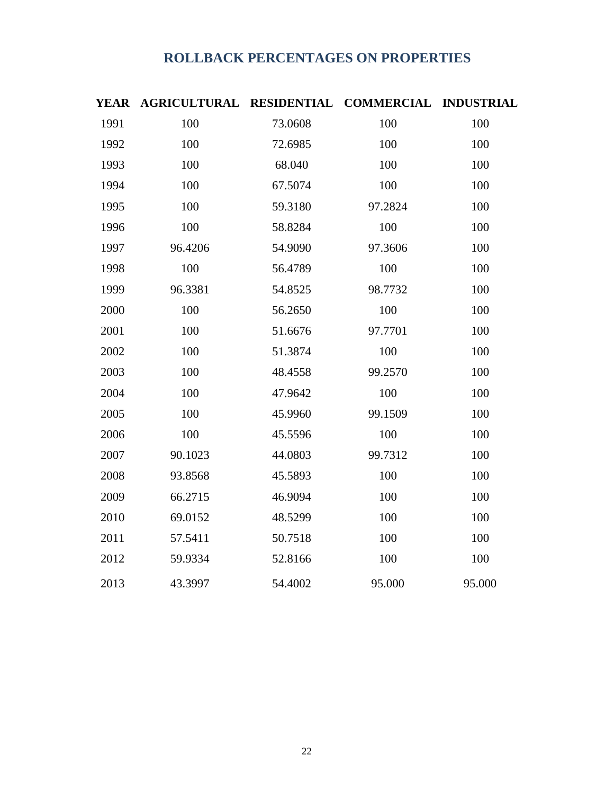## **ROLLBACK PERCENTAGES ON PROPERTIES**

| <b>YEAR</b> | AGRICULTURAL RESIDENTIAL |         | <b>COMMERCIAL INDUSTRIAL</b> |        |
|-------------|--------------------------|---------|------------------------------|--------|
| 1991        | 100                      | 73.0608 | 100                          | 100    |
| 1992        | 100                      | 72.6985 | 100                          | 100    |
| 1993        | 100                      | 68.040  | 100                          | 100    |
| 1994        | 100                      | 67.5074 | 100                          | 100    |
| 1995        | 100                      | 59.3180 | 97.2824                      | 100    |
| 1996        | 100                      | 58.8284 | 100                          | 100    |
| 1997        | 96.4206                  | 54.9090 | 97.3606                      | 100    |
| 1998        | 100                      | 56.4789 | 100                          | 100    |
| 1999        | 96.3381                  | 54.8525 | 98.7732                      | 100    |
| 2000        | 100                      | 56.2650 | 100                          | 100    |
| 2001        | 100                      | 51.6676 | 97.7701                      | 100    |
| 2002        | 100                      | 51.3874 | 100                          | 100    |
| 2003        | 100                      | 48.4558 | 99.2570                      | 100    |
| 2004        | 100                      | 47.9642 | 100                          | 100    |
| 2005        | 100                      | 45.9960 | 99.1509                      | 100    |
| 2006        | 100                      | 45.5596 | 100                          | 100    |
| 2007        | 90.1023                  | 44.0803 | 99.7312                      | 100    |
| 2008        | 93.8568                  | 45.5893 | 100                          | 100    |
| 2009        | 66.2715                  | 46.9094 | 100                          | 100    |
| 2010        | 69.0152                  | 48.5299 | 100                          | 100    |
| 2011        | 57.5411                  | 50.7518 | 100                          | 100    |
| 2012        | 59.9334                  | 52.8166 | 100                          | 100    |
| 2013        | 43.3997                  | 54.4002 | 95.000                       | 95.000 |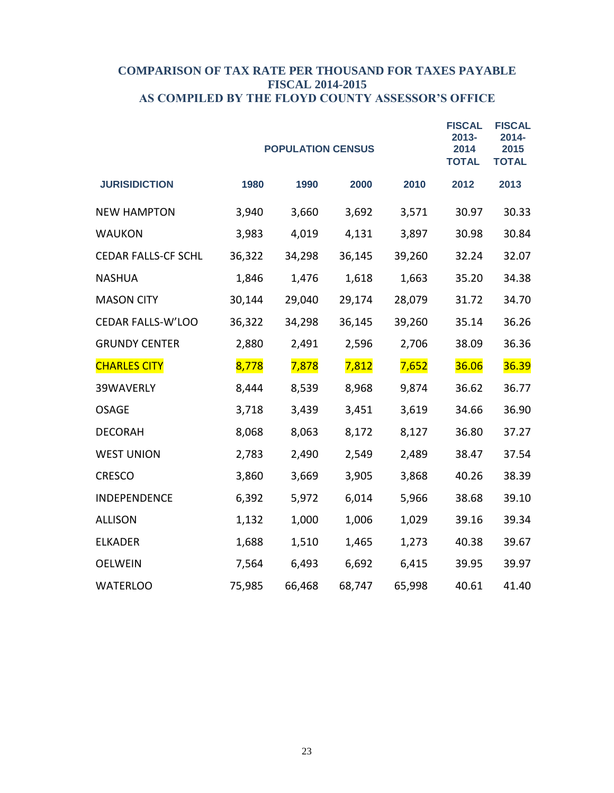#### **COMPARISON OF TAX RATE PER THOUSAND FOR TAXES PAYABLE FISCAL 2014-2015 AS COMPILED BY THE FLOYD COUNTY ASSESSOR'S OFFICE**

|                            |        | <b>POPULATION CENSUS</b> |        |        | <b>FISCAL</b><br>2013-<br>2014<br><b>TOTAL</b> | <b>FISCAL</b><br>$2014 -$<br>2015<br><b>TOTAL</b> |
|----------------------------|--------|--------------------------|--------|--------|------------------------------------------------|---------------------------------------------------|
| <b>JURISIDICTION</b>       | 1980   | 1990                     | 2000   | 2010   | 2012                                           | 2013                                              |
| <b>NEW HAMPTON</b>         | 3,940  | 3,660                    | 3,692  | 3,571  | 30.97                                          | 30.33                                             |
| <b>WAUKON</b>              | 3,983  | 4,019                    | 4,131  | 3,897  | 30.98                                          | 30.84                                             |
| <b>CEDAR FALLS-CF SCHL</b> | 36,322 | 34,298                   | 36,145 | 39,260 | 32.24                                          | 32.07                                             |
| <b>NASHUA</b>              | 1,846  | 1,476                    | 1,618  | 1,663  | 35.20                                          | 34.38                                             |
| <b>MASON CITY</b>          | 30,144 | 29,040                   | 29,174 | 28,079 | 31.72                                          | 34.70                                             |
| CEDAR FALLS-W'LOO          | 36,322 | 34,298                   | 36,145 | 39,260 | 35.14                                          | 36.26                                             |
| <b>GRUNDY CENTER</b>       | 2,880  | 2,491                    | 2,596  | 2,706  | 38.09                                          | 36.36                                             |
| <b>CHARLES CITY</b>        | 8,778  | 7,878                    | 7,812  | 7,652  | 36.06                                          | 36.39                                             |
| 39WAVERLY                  | 8,444  | 8,539                    | 8,968  | 9,874  | 36.62                                          | 36.77                                             |
| <b>OSAGE</b>               | 3,718  | 3,439                    | 3,451  | 3,619  | 34.66                                          | 36.90                                             |
| <b>DECORAH</b>             | 8,068  | 8,063                    | 8,172  | 8,127  | 36.80                                          | 37.27                                             |
| <b>WEST UNION</b>          | 2,783  | 2,490                    | 2,549  | 2,489  | 38.47                                          | 37.54                                             |
| <b>CRESCO</b>              | 3,860  | 3,669                    | 3,905  | 3,868  | 40.26                                          | 38.39                                             |
| INDEPENDENCE               | 6,392  | 5,972                    | 6,014  | 5,966  | 38.68                                          | 39.10                                             |
| <b>ALLISON</b>             | 1,132  | 1,000                    | 1,006  | 1,029  | 39.16                                          | 39.34                                             |
| <b>ELKADER</b>             | 1,688  | 1,510                    | 1,465  | 1,273  | 40.38                                          | 39.67                                             |
| <b>OELWEIN</b>             | 7,564  | 6,493                    | 6,692  | 6,415  | 39.95                                          | 39.97                                             |
| <b>WATERLOO</b>            | 75,985 | 66,468                   | 68,747 | 65,998 | 40.61                                          | 41.40                                             |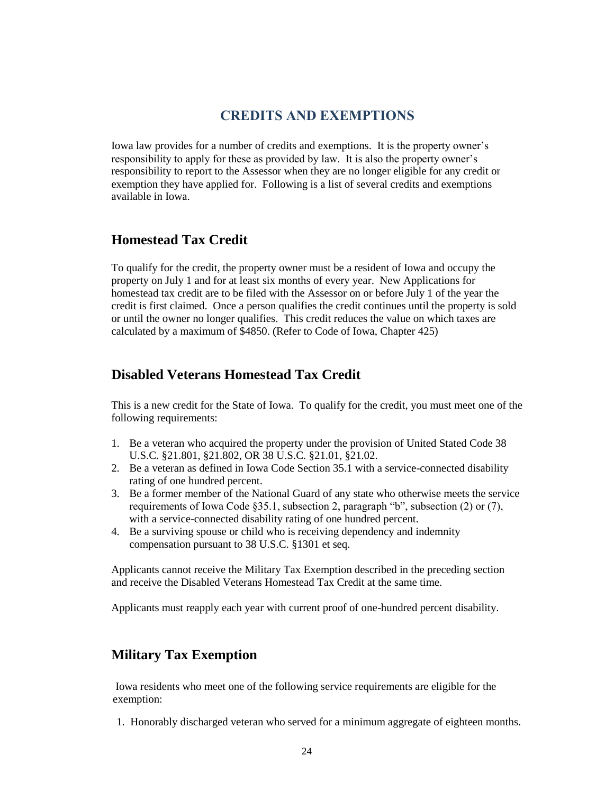### **CREDITS AND EXEMPTIONS**

Iowa law provides for a number of credits and exemptions. It is the property owner's responsibility to apply for these as provided by law. It is also the property owner's responsibility to report to the Assessor when they are no longer eligible for any credit or exemption they have applied for. Following is a list of several credits and exemptions available in Iowa.

### **Homestead Tax Credit**

To qualify for the credit, the property owner must be a resident of Iowa and occupy the property on July 1 and for at least six months of every year. New Applications for homestead tax credit are to be filed with the Assessor on or before July 1 of the year the credit is first claimed. Once a person qualifies the credit continues until the property is sold or until the owner no longer qualifies. This credit reduces the value on which taxes are calculated by a maximum of \$4850. (Refer to Code of Iowa, Chapter 425)

### **Disabled Veterans Homestead Tax Credit**

This is a new credit for the State of Iowa. To qualify for the credit, you must meet one of the following requirements:

- 1. Be a veteran who acquired the property under the provision of United Stated Code 38 U.S.C. §21.801, §21.802, OR 38 U.S.C. §21.01, §21.02.
- 2. Be a veteran as defined in Iowa Code Section 35.1 with a service-connected disability rating of one hundred percent.
- 3. Be a former member of the National Guard of any state who otherwise meets the service requirements of Iowa Code §35.1, subsection 2, paragraph "b", subsection (2) or (7), with a service-connected disability rating of one hundred percent.
- 4. Be a surviving spouse or child who is receiving dependency and indemnity compensation pursuant to 38 U.S.C. §1301 et seq.

Applicants cannot receive the Military Tax Exemption described in the preceding section and receive the Disabled Veterans Homestead Tax Credit at the same time.

Applicants must reapply each year with current proof of one-hundred percent disability.

### **Military Tax Exemption**

Iowa residents who meet one of the following service requirements are eligible for the exemption:

1. Honorably discharged veteran who served for a minimum aggregate of eighteen months.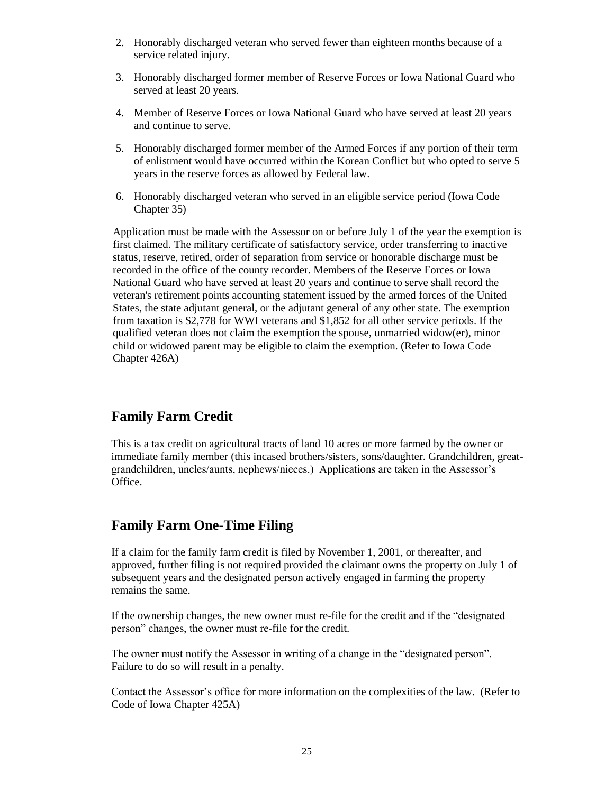- 2. Honorably discharged veteran who served fewer than eighteen months because of a service related injury.
- 3. Honorably discharged former member of Reserve Forces or Iowa National Guard who served at least 20 years.
- 4. Member of Reserve Forces or Iowa National Guard who have served at least 20 years and continue to serve.
- 5. Honorably discharged former member of the Armed Forces if any portion of their term of enlistment would have occurred within the Korean Conflict but who opted to serve 5 years in the reserve forces as allowed by Federal law.
- 6. Honorably discharged veteran who served in an eligible service period (Iowa Code Chapter 35)

Application must be made with the Assessor on or before July 1 of the year the exemption is first claimed. The military certificate of satisfactory service, order transferring to inactive status, reserve, retired, order of separation from service or honorable discharge must be recorded in the office of the county recorder. Members of the Reserve Forces or Iowa National Guard who have served at least 20 years and continue to serve shall record the veteran's retirement points accounting statement issued by the armed forces of the United States, the state adjutant general, or the adjutant general of any other state. The exemption from taxation is \$2,778 for WWI veterans and \$1,852 for all other service periods. If the qualified veteran does not claim the exemption the spouse, unmarried widow(er), minor child or widowed parent may be eligible to claim the exemption. (Refer to Iowa Code Chapter 426A)

### **Family Farm Credit**

This is a tax credit on agricultural tracts of land 10 acres or more farmed by the owner or immediate family member (this incased brothers/sisters, sons/daughter. Grandchildren, greatgrandchildren, uncles/aunts, nephews/nieces.) Applications are taken in the Assessor's Office.

### **Family Farm One-Time Filing**

If a claim for the family farm credit is filed by November 1, 2001, or thereafter, and approved, further filing is not required provided the claimant owns the property on July 1 of subsequent years and the designated person actively engaged in farming the property remains the same.

If the ownership changes, the new owner must re-file for the credit and if the "designated person" changes, the owner must re-file for the credit.

The owner must notify the Assessor in writing of a change in the "designated person". Failure to do so will result in a penalty.

Contact the Assessor's office for more information on the complexities of the law. (Refer to Code of Iowa Chapter 425A)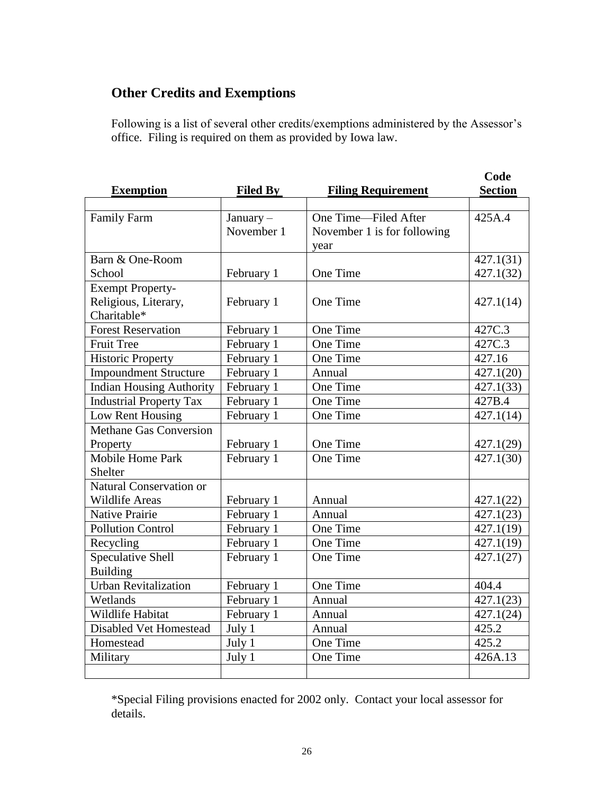## **Other Credits and Exemptions**

Following is a list of several other credits/exemptions administered by the Assessor's office. Filing is required on them as provided by Iowa law.

|                                 |                 |                             | Code                   |
|---------------------------------|-----------------|-----------------------------|------------------------|
| <b>Exemption</b>                | <b>Filed By</b> | <b>Filing Requirement</b>   | <b>Section</b>         |
|                                 |                 |                             |                        |
| <b>Family Farm</b>              | January-        | One Time—Filed After        | $\overline{425A.4}$    |
|                                 | November 1      | November 1 is for following |                        |
|                                 |                 | year                        |                        |
| Barn & One-Room                 |                 |                             | 427.1(31)              |
| School                          | February 1      | One Time                    | 427.1(32)              |
| <b>Exempt Property-</b>         |                 |                             |                        |
| Religious, Literary,            | February 1      | One Time                    | 427.1(14)              |
| Charitable*                     |                 |                             |                        |
| <b>Forest Reservation</b>       | February 1      | One Time                    | 427C.3                 |
| <b>Fruit Tree</b>               | February 1      | One Time                    | 427C.3                 |
| <b>Historic Property</b>        | February 1      | One Time                    | 427.16                 |
| <b>Impoundment Structure</b>    | February 1      | Annual                      | 427.1(20)              |
| <b>Indian Housing Authority</b> | February 1      | One Time                    | 427.1(33)              |
| <b>Industrial Property Tax</b>  | February 1      | One Time                    | 427B.4                 |
| Low Rent Housing                | February 1      | One Time                    | 427.1(14)              |
| <b>Methane Gas Conversion</b>   |                 |                             |                        |
| Property                        | February 1      | One Time                    | 427.1(29)              |
| Mobile Home Park                | February 1      | One Time                    | 427.1(30)              |
| Shelter                         |                 |                             |                        |
| Natural Conservation or         |                 |                             |                        |
| <b>Wildlife Areas</b>           | February 1      | Annual                      | 427.1(22)              |
| <b>Native Prairie</b>           | February 1      | Annual                      | 427.1(23)              |
| <b>Pollution Control</b>        | February 1      | One Time                    | 427.1(19)              |
| Recycling                       | February 1      | One Time                    | 427.1(19)              |
| <b>Speculative Shell</b>        | February 1      | One Time                    | 427.1(27)              |
| <b>Building</b>                 |                 |                             |                        |
| <b>Urban Revitalization</b>     | February 1      | One Time                    | 404.4                  |
| Wetlands                        | February 1      | Annual                      | $\overline{427.1(23)}$ |
| <b>Wildlife Habitat</b>         | February 1      | Annual                      | $\overline{427.1(24)}$ |
| Disabled Vet Homestead          | July 1          | Annual                      | 425.2                  |
| Homestead                       | July 1          | One Time                    | 425.2                  |
| Military                        | July 1          | One Time                    | 426A.13                |
|                                 |                 |                             |                        |

\*Special Filing provisions enacted for 2002 only. Contact your local assessor for details.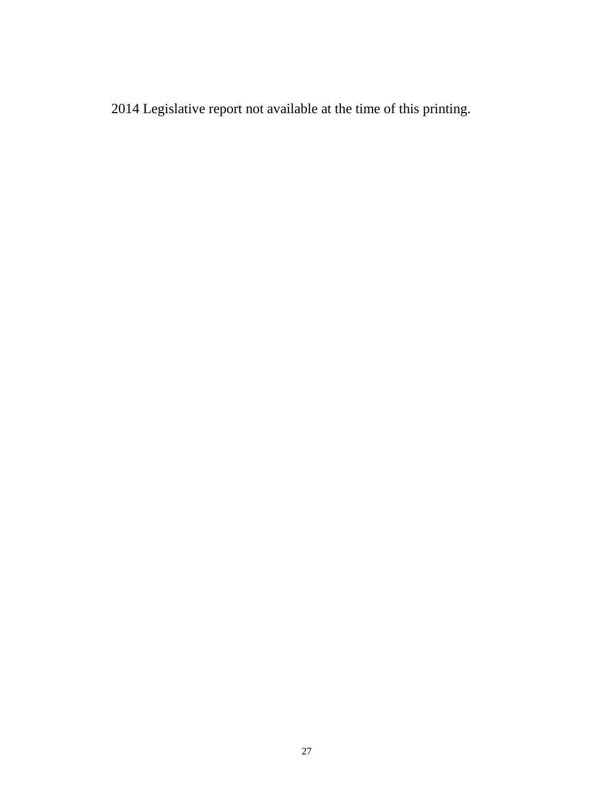2014 Legislative report not available at the time of this printing.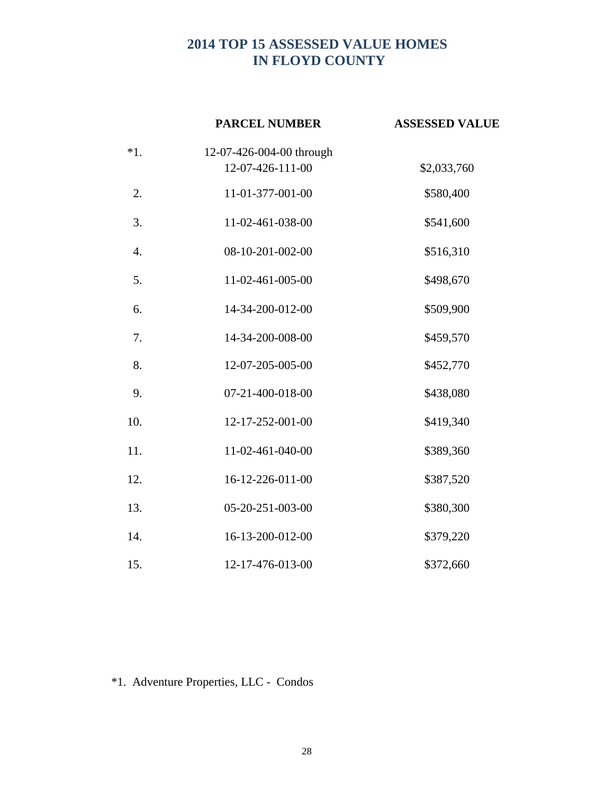## **2014 TOP 15 ASSESSED VALUE HOMES IN FLOYD COUNTY**

|       | <b>PARCEL NUMBER</b>     | <b>ASSESSED VALUE</b> |
|-------|--------------------------|-----------------------|
| $*1.$ | 12-07-426-004-00 through |                       |
|       | 12-07-426-111-00         | \$2,033,760           |
| 2.    | 11-01-377-001-00         | \$580,400             |
| 3.    | 11-02-461-038-00         | \$541,600             |
| 4.    | 08-10-201-002-00         | \$516,310             |
| 5.    | 11-02-461-005-00         | \$498,670             |
| 6.    | 14-34-200-012-00         | \$509,900             |
| 7.    | 14-34-200-008-00         | \$459,570             |
| 8.    | 12-07-205-005-00         | \$452,770             |
| 9.    | 07-21-400-018-00         | \$438,080             |
| 10.   | 12-17-252-001-00         | \$419,340             |
| 11.   | 11-02-461-040-00         | \$389,360             |
| 12.   | 16-12-226-011-00         | \$387,520             |
| 13.   | 05-20-251-003-00         | \$380,300             |
| 14.   | 16-13-200-012-00         | \$379,220             |
| 15.   | 12-17-476-013-00         | \$372,660             |

\*1. Adventure Properties, LLC - Condos